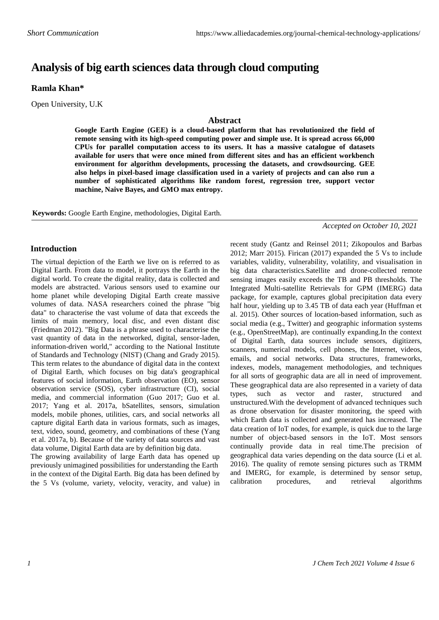# **Analysis of big earth sciences data through cloud computing**

## **Ramla Khan\***

Open University, U.K

#### **Abstract**

**Google Earth Engine (GEE) is a cloud-based platform that has revolutionized the field of remote sensing with its high-speed computing power and simple use. It is spread across 66,000 CPUs for parallel computation access to its users. It has a massive catalogue of datasets available for users that were once mined from different sites and has an efficient workbench environment for algorithm developments, processing the datasets, and crowdsourcing. GEE also helps in pixel-based image classification used in a variety of projects and can also run a number of sophisticated algorithms like random forest, regression tree, support vector machine, Naive Bayes, and GMO max entropy.**

**Keywords:** Google Earth Engine, methodologies, Digital Earth.

*Accepted on October 10, 2021*

### **Introduction**

The virtual depiction of the Earth we live on is referred to as Digital Earth. From data to model, it portrays the Earth in the digital world. To create the digital reality, data is collected and models are abstracted. Various sensors used to examine our home planet while developing Digital Earth create massive volumes of data. NASA researchers coined the phrase "big data" to characterise the vast volume of data that exceeds the limits of main memory, local disc, and even distant disc (Friedman 2012). "Big Data is a phrase used to characterise the vast quantity of data in the networked, digital, sensor-laden, information-driven world," according to the National Institute of Standards and Technology (NIST) (Chang and Grady 2015). This term relates to the abundance of digital data in the context of Digital Earth, which focuses on big data's geographical features of social information, Earth observation (EO), sensor observation service (SOS), cyber infrastructure (CI), social media, and commercial information (Guo 2017; Guo et al. 2017; Yang et al. 2017a, bSatellites, sensors, simulation models, mobile phones, utilities, cars, and social networks all capture digital Earth data in various formats, such as images, text, video, sound, geometry, and combinations of these (Yang et al. 2017a, b). Because of the variety of data sources and vast data volume, Digital Earth data are by definition big data.

The growing availability of large Earth data has opened up previously unimagined possibilities for understanding the Earth in the context of the Digital Earth. Big data has been defined by the 5 Vs (volume, variety, velocity, veracity, and value) in recent study (Gantz and Reinsel 2011; Zikopoulos and Barbas 2012; Marr 2015). Firican (2017) expanded the 5 Vs to include variables, validity, vulnerability, volatility, and visualisation in big data characteristics.Satellite and drone-collected remote sensing images easily exceeds the TB and PB thresholds. The Integrated Multi-satellite Retrievals for GPM (IMERG) data package, for example, captures global precipitation data every half hour, yielding up to 3.45 TB of data each year (Huffman et al. 2015). Other sources of location-based information, such as social media (e.g., Twitter) and geographic information systems (e.g., OpenStreetMap), are continually expanding.In the context of Digital Earth, data sources include sensors, digitizers, scanners, numerical models, cell phones, the Internet, videos, emails, and social networks. Data structures, frameworks, indexes, models, management methodologies, and techniques for all sorts of geographic data are all in need of improvement. These geographical data are also represented in a variety of data types, such as vector and raster, structured and unstructured.With the development of advanced techniques such as drone observation for disaster monitoring, the speed with which Earth data is collected and generated has increased. The data creation of IoT nodes, for example, is quick due to the large number of object-based sensors in the IoT. Most sensors continually provide data in real time.The precision of geographical data varies depending on the data source (Li et al. 2016). The quality of remote sensing pictures such as TRMM and IMERG, for example, is determined by sensor setup, calibration procedures, and retrieval algorithms